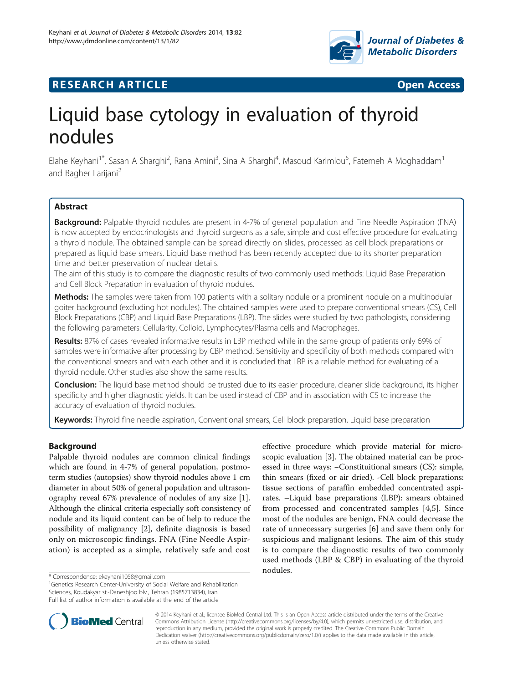

# **RESEARCH ARTICLE Example 2014 12:30 The Contract of Contract ACCESS**

# Liquid base cytology in evaluation of thyroid nodules

Elahe Keyhani<sup>1\*</sup>, Sasan A Sharghi<sup>2</sup>, Rana Amini<sup>3</sup>, Sina A Sharghi<sup>4</sup>, Masoud Karimlou<sup>5</sup>, Fatemeh A Moghaddam<sup>1</sup> and Bagher Larijani<sup>2</sup>

# **Abstract**

Background: Palpable thyroid nodules are present in 4-7% of general population and Fine Needle Aspiration (FNA) is now accepted by endocrinologists and thyroid surgeons as a safe, simple and cost effective procedure for evaluating a thyroid nodule. The obtained sample can be spread directly on slides, processed as cell block preparations or prepared as liquid base smears. Liquid base method has been recently accepted due to its shorter preparation time and better preservation of nuclear details.

The aim of this study is to compare the diagnostic results of two commonly used methods: Liquid Base Preparation and Cell Block Preparation in evaluation of thyroid nodules.

Methods: The samples were taken from 100 patients with a solitary nodule or a prominent nodule on a multinodular goiter background (excluding hot nodules). The obtained samples were used to prepare conventional smears (CS), Cell Block Preparations (CBP) and Liquid Base Preparations (LBP). The slides were studied by two pathologists, considering the following parameters: Cellularity, Colloid, Lymphocytes/Plasma cells and Macrophages.

Results: 87% of cases revealed informative results in LBP method while in the same group of patients only 69% of samples were informative after processing by CBP method. Sensitivity and specificity of both methods compared with the conventional smears and with each other and it is concluded that LBP is a reliable method for evaluating of a thyroid nodule. Other studies also show the same results.

Conclusion: The liquid base method should be trusted due to its easier procedure, cleaner slide background, its higher specificity and higher diagnostic yields. It can be used instead of CBP and in association with CS to increase the accuracy of evaluation of thyroid nodules.

Keywords: Thyroid fine needle aspiration, Conventional smears, Cell block preparation, Liquid base preparation

# Background

Palpable thyroid nodules are common clinical findings which are found in 4-7% of general population, postmoterm studies (autopsies) show thyroid nodules above 1 cm diameter in about 50% of general population and ultrasonography reveal 67% prevalence of nodules of any size [[1](#page-3-0)]. Although the clinical criteria especially soft consistency of nodule and its liquid content can be of help to reduce the possibility of malignancy [[2\]](#page-3-0), definite diagnosis is based only on microscopic findings. FNA (Fine Needle Aspiration) is accepted as a simple, relatively safe and cost

<sup>1</sup>Genetics Research Center-University of Social Welfare and Rehabilitation Sciences, Koudakyar st.-Daneshjoo blv., Tehran (1985713834), Iran Full list of author information is available at the end of the article

effective procedure which provide material for microscopic evaluation [\[3](#page-3-0)]. The obtained material can be processed in three ways: −Constituitional smears (CS): simple, thin smears (fixed or air dried). -Cell block preparations: tissue sections of paraffin embedded concentrated aspirates. –Liquid base preparations (LBP): smears obtained from processed and concentrated samples [\[4,5](#page-3-0)]. Since most of the nodules are benign, FNA could decrease the rate of unnecessary surgeries [[6\]](#page-3-0) and save them only for suspicious and malignant lesions. The aim of this study is to compare the diagnostic results of two commonly used methods (LBP & CBP) in evaluating of the thyroid nodules.



© 2014 Keyhani et al.; licensee BioMed Central Ltd. This is an Open Access article distributed under the terms of the Creative Commons Attribution License [\(http://creativecommons.org/licenses/by/4.0\)](http://creativecommons.org/licenses/by/4.0), which permits unrestricted use, distribution, and reproduction in any medium, provided the original work is properly credited. The Creative Commons Public Domain Dedication waiver [\(http://creativecommons.org/publicdomain/zero/1.0/](http://creativecommons.org/publicdomain/zero/1.0/)) applies to the data made available in this article, unless otherwise stated.

<sup>\*</sup> Correspondence: [ekeyhani1058@gmail.com](mailto:ekeyhani1058@gmail.com) <sup>1</sup>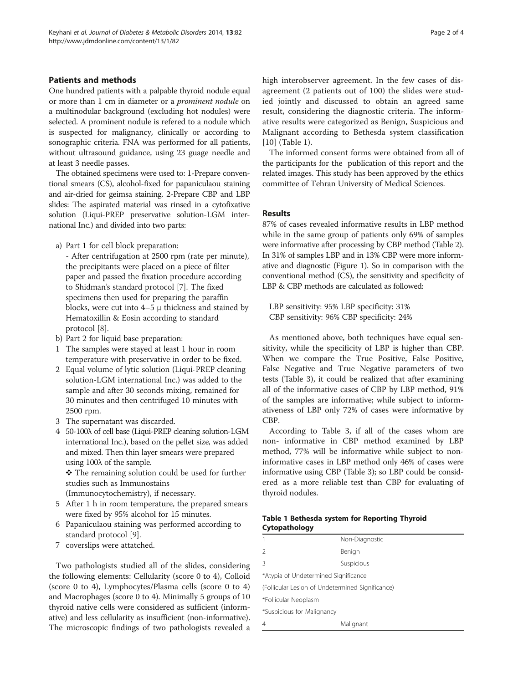# Patients and methods

One hundred patients with a palpable thyroid nodule equal or more than 1 cm in diameter or a prominent nodule on a multinodular background (excluding hot nodules) were selected. A prominent nodule is refered to a nodule which is suspected for malignancy, clinically or according to sonographic criteria. FNA was performed for all patients, without ultrasound guidance, using 23 guage needle and at least 3 needle passes.

The obtained specimens were used to: 1-Prepare conventional smears (CS), alcohol-fixed for papaniculaou staining and air-dried for geimsa staining. 2-Prepare CBP and LBP slides: The aspirated material was rinsed in a cytofixative solution (Liqui-PREP preservative solution-LGM international Inc.) and divided into two parts:

- a) Part 1 for cell block preparation:
	- After centrifugation at 2500 rpm (rate per minute), the precipitants were placed on a piece of filter paper and passed the fixation procedure according to Shidman's standard protocol [\[7](#page-3-0)]. The fixed specimens then used for preparing the paraffin blocks, were cut into  $4-5 \mu$  thickness and stained by Hematoxillin & Eosin according to standard protocol [\[8](#page-3-0)].
- b) Part 2 for liquid base preparation:
- 1 The samples were stayed at least 1 hour in room temperature with preservative in order to be fixed.
- 2 Equal volume of lytic solution (Liqui-PREP cleaning solution-LGM international Inc.) was added to the sample and after 30 seconds mixing, remained for 30 minutes and then centrifuged 10 minutes with 2500 rpm.
- 3 The supernatant was discarded.
- 4 50-100λ of cell base (Liqui-PREP cleaning solution-LGM international Inc.), based on the pellet size, was added and mixed. Then thin layer smears were prepared using 100λ of the sample.

❖ The remaining solution could be used for further studies such as Immunostains

(Immunocytochemistry), if necessary.

- 5 After 1 h in room temperature, the prepared smears were fixed by 95% alcohol for 15 minutes.
- 6 Papaniculaou staining was performed according to standard protocol [[9\]](#page-3-0).
- 7 coverslips were attatched.

Two pathologists studied all of the slides, considering the following elements: Cellularity (score 0 to 4), Colloid (score 0 to 4), Lymphocytes/Plasma cells (score 0 to 4) and Macrophages (score 0 to 4). Minimally 5 groups of 10 thyroid native cells were considered as sufficient (informative) and less cellularity as insufficient (non-informative). The microscopic findings of two pathologists revealed a high interobserver agreement. In the few cases of disagreement (2 patients out of 100) the slides were studied jointly and discussed to obtain an agreed same result, considering the diagnostic criteria. The informative results were categorized as Benign, Suspicious and Malignant according to Bethesda system classification [[10\]](#page-3-0) (Table 1).

The informed consent forms were obtained from all of the participants for the publication of this report and the related images. This study has been approved by the ethics committee of Tehran University of Medical Sciences.

# Results

87% of cases revealed informative results in LBP method while in the same group of patients only 69% of samples were informative after processing by CBP method (Table [2](#page-2-0)). In 31% of samples LBP and in 13% CBP were more informative and diagnostic (Figure [1](#page-2-0)). So in comparison with the conventional method (CS), the sensitivity and specificity of LBP & CBP methods are calculated as followed:

LBP sensitivity: 95% LBP specificity: 31% CBP sensitivity: 96% CBP specificity: 24%

As mentioned above, both techniques have equal sensitivity, while the specificity of LBP is higher than CBP. When we compare the True Positive, False Positive, False Negative and True Negative parameters of two tests (Table [3\)](#page-3-0), it could be realized that after examining all of the informative cases of CBP by LBP method, 91% of the samples are informative; while subject to informativeness of LBP only 72% of cases were informative by CBP.

According to Table [3,](#page-3-0) if all of the cases whom are non- informative in CBP method examined by LBP method, 77% will be informative while subject to noninformative cases in LBP method only 46% of cases were informative using CBP (Table [3\)](#page-3-0); so LBP could be considered as a more reliable test than CBP for evaluating of thyroid nodules.

# Table 1 Bethesda system for Reporting Thyroid Cytopathology

|                                                  | Non-Diagnostic |  |  |
|--------------------------------------------------|----------------|--|--|
| $\mathcal{L}$                                    | Benign         |  |  |
| 3                                                | Suspicious     |  |  |
| *Atypia of Undetermined Significance             |                |  |  |
| (Follicular Lesion of Undetermined Significance) |                |  |  |
| *Follicular Neoplasm                             |                |  |  |
| *Suspicious for Malignancy                       |                |  |  |
| 4                                                | Malignant      |  |  |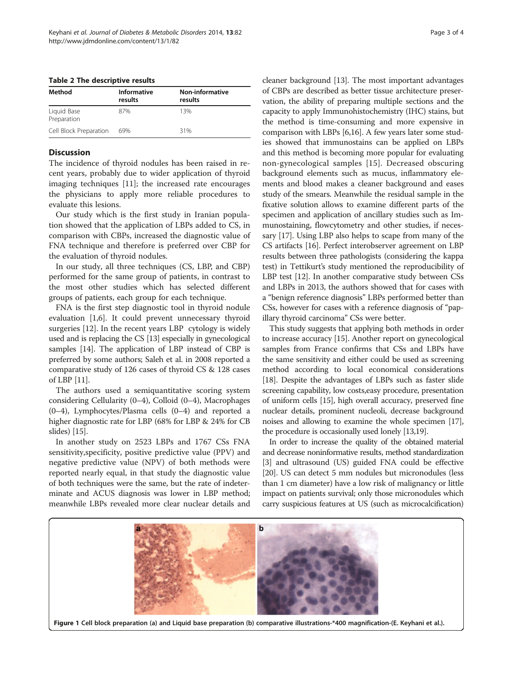| Method                     | Informative<br>results | Non-informative<br>results |
|----------------------------|------------------------|----------------------------|
| Liquid Base<br>Preparation | 87%                    | 13%                        |
| Cell Block Preparation     | 69%                    | 31%                        |

#### <span id="page-2-0"></span>Table 2 The descriptive results

## **Discussion**

The incidence of thyroid nodules has been raised in recent years, probably due to wider application of thyroid imaging techniques [\[11](#page-3-0)]; the increased rate encourages the physicians to apply more reliable procedures to evaluate this lesions.

Our study which is the first study in Iranian population showed that the application of LBPs added to CS, in comparison with CBPs, increased the diagnostic value of FNA technique and therefore is preferred over CBP for the evaluation of thyroid nodules.

In our study, all three techniques (CS, LBP, and CBP) performed for the same group of patients, in contrast to the most other studies which has selected different groups of patients, each group for each technique.

FNA is the first step diagnostic tool in thyroid nodule evaluation [\[1,6](#page-3-0)]. It could prevent unnecessary thyroid surgeries [\[12\]](#page-3-0). In the recent years LBP cytology is widely used and is replacing the CS [\[13\]](#page-3-0) especially in gynecological samples [[14\]](#page-3-0). The application of LBP instead of CBP is preferred by some authors; Saleh et al. in 2008 reported a comparative study of 126 cases of thyroid CS & 128 cases of LBP [\[11](#page-3-0)].

The authors used a semiquantitative scoring system considering Cellularity (0–4), Colloid (0–4), Macrophages (0–4), Lymphocytes/Plasma cells (0–4) and reported a higher diagnostic rate for LBP (68% for LBP & 24% for CB slides) [\[15\]](#page-3-0).

In another study on 2523 LBPs and 1767 CSs FNA sensitivity,specificity, positive predictive value (PPV) and negative predictive value (NPV) of both methods were reported nearly equal, in that study the diagnostic value of both techniques were the same, but the rate of indeterminate and ACUS diagnosis was lower in LBP method; meanwhile LBPs revealed more clear nuclear details and cleaner background [[13](#page-3-0)]. The most important advantages of CBPs are described as better tissue architecture preservation, the ability of preparing multiple sections and the capacity to apply Immunohistochemistry (IHC) stains, but the method is time-consuming and more expensive in comparison with LBPs [\[6,16\]](#page-3-0). A few years later some studies showed that immunostains can be applied on LBPs and this method is becoming more popular for evaluating non-gynecological samples [\[15\]](#page-3-0). Decreased obscuring background elements such as mucus, inflammatory elements and blood makes a cleaner background and eases study of the smears. Meanwhile the residual sample in the fixative solution allows to examine different parts of the specimen and application of ancillary studies such as Immunostaining, flowcytometry and other studies, if necessary [[17](#page-3-0)]. Using LBP also helps to scape from many of the CS artifacts [[16](#page-3-0)]. Perfect interobserver agreement on LBP results between three pathologists (considering the kappa test) in Tettikurt's study mentioned the reproducibility of LBP test [\[12\]](#page-3-0). In another comparative study between CSs and LBPs in 2013, the authors showed that for cases with a "benign reference diagnosis" LBPs performed better than CSs, however for cases with a reference diagnosis of "papillary thyroid carcinoma" CSs were better.

This study suggests that applying both methods in order to increase accuracy [\[15\]](#page-3-0). Another report on gynecological samples from France confirms that CSs and LBPs have the same sensitivity and either could be used as screening method according to local economical considerations [[18](#page-3-0)]. Despite the advantages of LBPs such as faster slide screening capability, low costs,easy procedure, presentation of uniform cells [[15](#page-3-0)], high overall accuracy, preserved fine nuclear details, prominent nucleoli, decrease background noises and allowing to examine the whole specimen [\[17](#page-3-0)], the procedure is occasionally used lonely [\[13,19](#page-3-0)].

In order to increase the quality of the obtained material and decrease noninformative results, method standardization [[3\]](#page-3-0) and ultrasound (US) guided FNA could be effective [[20](#page-3-0)]. US can detect 5 mm nodules but micronodules (less than 1 cm diameter) have a low risk of malignancy or little impact on patients survival; only those micronodules which carry suspicious features at US (such as microcalcification)